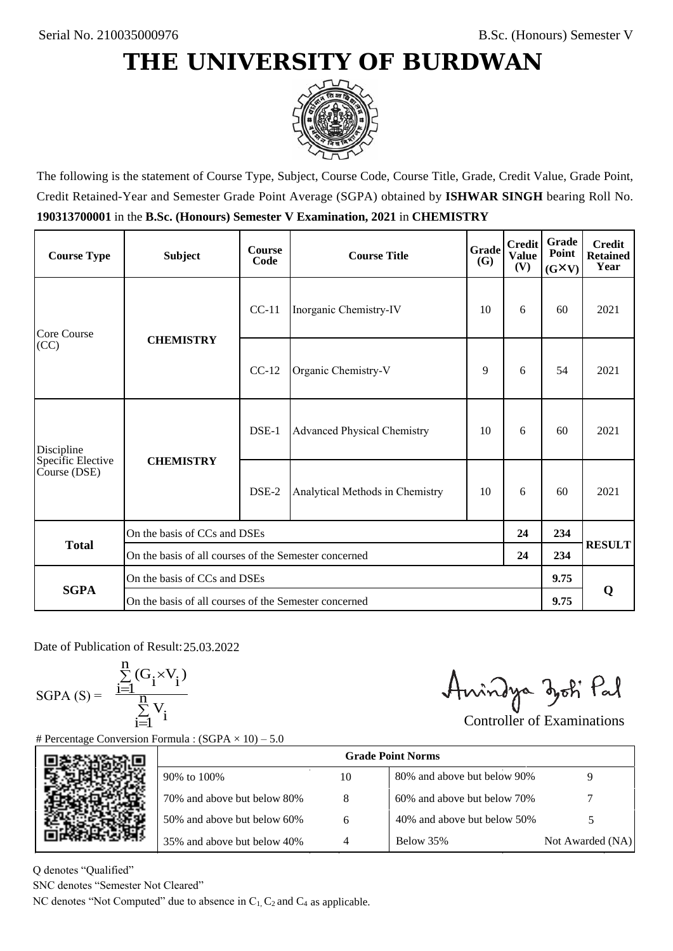## **THE UNIVERSITY OF BURDWAN**



The following is the statement of Course Type, Subject, Course Code, Course Title, Grade, Credit Value, Grade Point, Credit Retained-Year and Semester Grade Point Average (SGPA) obtained by **ISHWAR SINGH** bearing Roll No. **190313700001** in the **B.Sc. (Honours) Semester V Examination, 2021** in **CHEMISTRY**

| <b>Course Type</b>                              | <b>Subject</b>                                        | <b>Course</b><br>Code | Grade<br><b>Course Title</b><br><b>(G)</b> |    | <b>Credit</b><br><b>Value</b><br>(V) | Grade<br>Point<br>$(G\times V)$ | <b>Credit</b><br><b>Retained</b><br>Year |
|-------------------------------------------------|-------------------------------------------------------|-----------------------|--------------------------------------------|----|--------------------------------------|---------------------------------|------------------------------------------|
| Core Course<br>(CC)                             | <b>CHEMISTRY</b>                                      | $CC-11$               | Inorganic Chemistry-IV                     | 10 | 6                                    | 60                              | 2021                                     |
|                                                 |                                                       | $CC-12$               | Organic Chemistry-V<br>9                   |    | 6                                    | 54                              | 2021                                     |
| Discipline<br>Specific Elective<br>Course (DSE) | <b>CHEMISTRY</b>                                      | $DSE-1$               | <b>Advanced Physical Chemistry</b>         | 10 | 6                                    | 60                              | 2021                                     |
|                                                 |                                                       | $DSE-2$               | Analytical Methods in Chemistry            | 10 | 6                                    | 60                              | 2021                                     |
| <b>Total</b>                                    | On the basis of CCs and DSEs                          |                       |                                            |    |                                      | 234                             |                                          |
|                                                 | On the basis of all courses of the Semester concerned |                       |                                            |    | 24                                   | 234                             | <b>RESULT</b>                            |
|                                                 | On the basis of CCs and DSEs                          |                       |                                            |    |                                      | 9.75                            | Q                                        |
| <b>SGPA</b>                                     | On the basis of all courses of the Semester concerned |                       |                                            |    | 9.75                                 |                                 |                                          |

Date of Publication of Result: 25.03.2022

 $SGPA(S) =$ 

$$
\frac{\sum\limits_{i=1}^{n} (G_i \times V_i)}{\sum\limits_{i=1}^{n} V_i}
$$

Amindya zoti Pal

| ate of Publication of Result: 25.03.2022<br>SGPA (S) = $\frac{\sum_{i=1}^{n} (G_i \times V_i)}{\sum_{i=1}^{n} V_i}$ | Percentage Conversion Formula : $(SGPA \times 10) - 5.0$                          |    | Aningya zoti Pal            | <b>Controller of Examinations</b> |  |
|---------------------------------------------------------------------------------------------------------------------|-----------------------------------------------------------------------------------|----|-----------------------------|-----------------------------------|--|
|                                                                                                                     |                                                                                   |    | <b>Grade Point Norms</b>    |                                   |  |
|                                                                                                                     | 90% to 100%                                                                       | 10 | 80% and above but below 90% | 9                                 |  |
|                                                                                                                     | 70% and above but below 80%                                                       | 8  | 60% and above but below 70% |                                   |  |
|                                                                                                                     | 50% and above but below 60%                                                       | 6  | 40% and above but below 50% | 5                                 |  |
|                                                                                                                     | 35% and above but below 40%                                                       | 4  | Below 35%                   | Not Awarded (NA)                  |  |
| denotes "Qualified"<br>NC denotes "Semester Not Cleared"                                                            | C denotes "Not Computed" due to absence in $C_1$ , $C_2$ and $C_4$ as applicable. |    |                             |                                   |  |

Q denotes "Qualified"

SNC denotes "Semester Not Cleared"

NC denotes "Not Computed" due to absence in  $C_1$ ,  $C_2$  and  $C_4$  as applicable.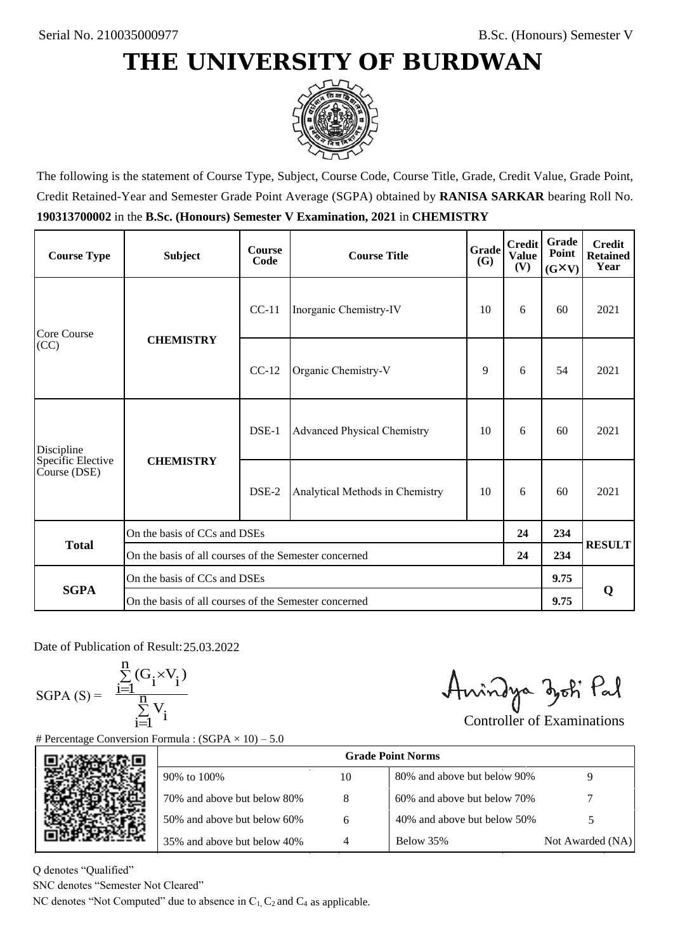## **THE UNIVERSITY OF BURDWAN**



The following is the statement of Course Type, Subject, Course Code, Course Title, Grade, Credit Value, Grade Point, Credit Retained-Year and Semester Grade Point Average (SGPA) obtained by **RANISA SARKAR** bearing Roll No. **190313700002** in the **B.Sc. (Honours) Semester V Examination, 2021** in **CHEMISTRY**

| <b>Course Type</b>                              | <b>Subject</b>                                        | <b>Course</b><br>Code | Grade<br><b>Course Title</b><br><b>(G)</b> |    | <b>Credit</b><br><b>Value</b><br>(V) | Grade<br>Point<br>$(G\times V)$ | <b>Credit</b><br><b>Retained</b><br>Year |
|-------------------------------------------------|-------------------------------------------------------|-----------------------|--------------------------------------------|----|--------------------------------------|---------------------------------|------------------------------------------|
| Core Course<br>(CC)                             | <b>CHEMISTRY</b>                                      | $CC-11$               | Inorganic Chemistry-IV                     | 10 | 6                                    | 60                              | 2021                                     |
|                                                 |                                                       | $CC-12$               | Organic Chemistry-V<br>9                   |    | 6                                    | 54                              | 2021                                     |
| Discipline<br>Specific Elective<br>Course (DSE) | <b>CHEMISTRY</b>                                      | $DSE-1$               | <b>Advanced Physical Chemistry</b>         | 10 | 6                                    | 60                              | 2021                                     |
|                                                 |                                                       | $DSE-2$               | Analytical Methods in Chemistry            | 10 | 6                                    | 60                              | 2021                                     |
| <b>Total</b>                                    | On the basis of CCs and DSEs                          |                       |                                            |    |                                      | 234                             |                                          |
|                                                 | On the basis of all courses of the Semester concerned |                       |                                            |    | 24                                   | 234                             | <b>RESULT</b>                            |
|                                                 | On the basis of CCs and DSEs                          |                       |                                            |    |                                      | 9.75                            | Q                                        |
| <b>SGPA</b>                                     | On the basis of all courses of the Semester concerned |                       |                                            |    | 9.75                                 |                                 |                                          |

Date of Publication of Result: 25.03.2022

SGPA  $(S) = \frac{1}{1}$ 

$$
\frac{\sum_{i=1}^{n} (G_i \times V_i)}{\sum_{i=1}^{n} V_i}
$$

Amindya zoti Pal

| ate of Publication of Result: 25.03.2022<br>GPA (S) = $\frac{\sum_{i=1}^{n} (G_i \times V_i)}{\sum_{i=1}^{n} V_i}$ | Percentage Conversion Formula : $(SGPA \times 10) - 5.0$                          |    | Aningya zoti Pal            | <b>Controller of Examinations</b> |  |  |
|--------------------------------------------------------------------------------------------------------------------|-----------------------------------------------------------------------------------|----|-----------------------------|-----------------------------------|--|--|
|                                                                                                                    |                                                                                   |    | <b>Grade Point Norms</b>    |                                   |  |  |
|                                                                                                                    | 90% to 100%                                                                       | 10 | 80% and above but below 90% | 9                                 |  |  |
|                                                                                                                    | 70% and above but below 80%                                                       | 8  | 60% and above but below 70% |                                   |  |  |
|                                                                                                                    | 50% and above but below 60%                                                       | 6  | 40% and above but below 50% | 5                                 |  |  |
|                                                                                                                    | 35% and above but below 40%                                                       | 4  | Below 35%                   | Not Awarded (NA)                  |  |  |
| denotes "Qualified"<br>NC denotes "Semester Not Cleared"                                                           | C denotes "Not Computed" due to absence in $C_1$ , $C_2$ and $C_4$ as applicable. |    |                             |                                   |  |  |

Q denotes "Qualified"

SNC denotes "Semester Not Cleared"

NC denotes "Not Computed" due to absence in  $C_1$ ,  $C_2$  and  $C_4$  as applicable.